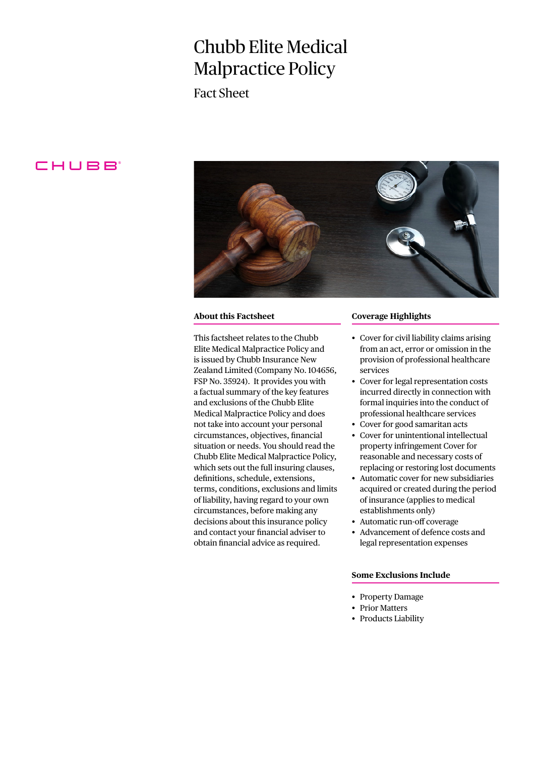# Chubb Elite Medical Malpractice Policy

Fact Sheet

# CHUBB



### **About this Factsheet**

This factsheet relates to the Chubb Elite Medical Malpractice Policy and is issued by Chubb Insurance New Zealand Limited (Company No. 104656, FSP No. 35924). It provides you with a factual summary of the key features and exclusions of the Chubb Elite Medical Malpractice Policy and does not take into account your personal circumstances, objectives, financial situation or needs. You should read the Chubb Elite Medical Malpractice Policy, which sets out the full insuring clauses, definitions, schedule, extensions, terms, conditions, exclusions and limits of liability, having regard to your own circumstances, before making any decisions about this insurance policy and contact your financial adviser to obtain financial advice as required.

## **Coverage Highlights**

- Cover for civil liability claims arising from an act, error or omission in the provision of professional healthcare services
- Cover for legal representation costs incurred directly in connection with formal inquiries into the conduct of professional healthcare services
- Cover for good samaritan acts
- Cover for unintentional intellectual property infringement Cover for reasonable and necessary costs of replacing or restoring lost documents
- Automatic cover for new subsidiaries acquired or created during the period of insurance (applies to medical establishments only)
- Automatic run-off coverage
- Advancement of defence costs and legal representation expenses

# **Some Exclusions Include**

- Property Damage
- Prior Matters
- Products Liability